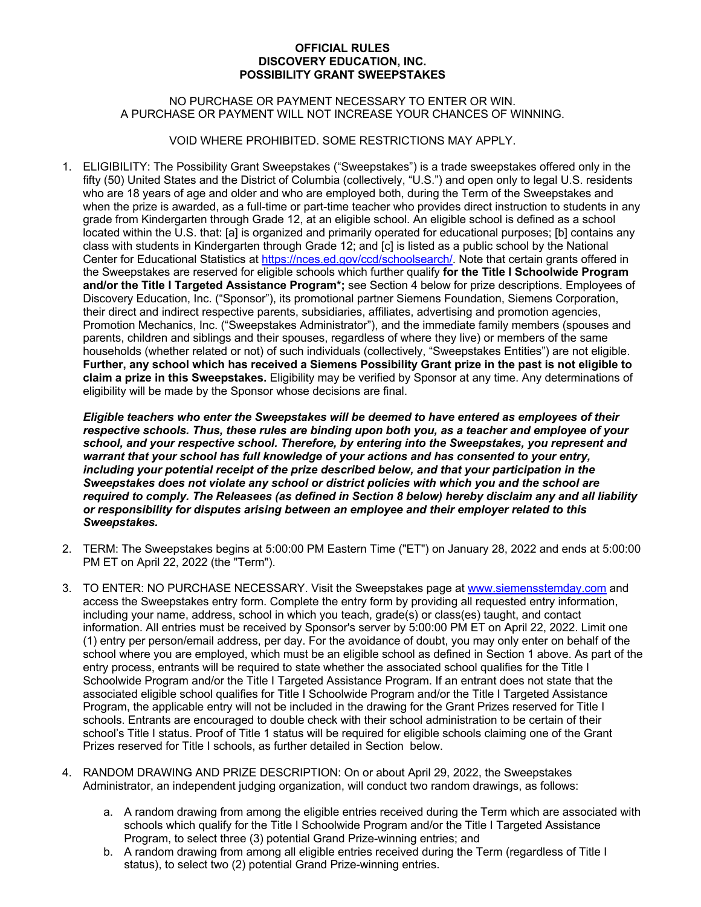## **OFFICIAL RULES DISCOVERY EDUCATION, INC. POSSIBILITY GRANT SWEEPSTAKES**

## NO PURCHASE OR PAYMENT NECESSARY TO ENTER OR WIN. A PURCHASE OR PAYMENT WILL NOT INCREASE YOUR CHANCES OF WINNING.

VOID WHERE PROHIBITED. SOME RESTRICTIONS MAY APPLY.

1. ELIGIBILITY: The Possibility Grant Sweepstakes ("Sweepstakes") is a trade sweepstakes offered only in the fifty (50) United States and the District of Columbia (collectively, "U.S.") and open only to legal U.S. residents who are 18 years of age and older and who are employed both, during the Term of the Sweepstakes and when the prize is awarded, as a full-time or part-time teacher who provides direct instruction to students in any grade from Kindergarten through Grade 12, at an eligible school. An eligible school is defined as a school located within the U.S. that: [a] is organized and primarily operated for educational purposes; [b] contains any class with students in Kindergarten through Grade 12; and [c] is listed as a public school by the National Center for Educational Statistics at https://nces.ed.gov/ccd/schoolsearch/. Note that certain grants offered in the Sweepstakes are reserved for eligible schools which further qualify **for the Title I Schoolwide Program and/or the Title I Targeted Assistance Program\*;** see Section 4 below for prize descriptions. Employees of Discovery Education, Inc. ("Sponsor"), its promotional partner Siemens Foundation, Siemens Corporation, their direct and indirect respective parents, subsidiaries, affiliates, advertising and promotion agencies, Promotion Mechanics, Inc. ("Sweepstakes Administrator"), and the immediate family members (spouses and parents, children and siblings and their spouses, regardless of where they live) or members of the same households (whether related or not) of such individuals (collectively, "Sweepstakes Entities") are not eligible. **Further, any school which has received a Siemens Possibility Grant prize in the past is not eligible to claim a prize in this Sweepstakes.** Eligibility may be verified by Sponsor at any time. Any determinations of eligibility will be made by the Sponsor whose decisions are final.

*Eligible teachers who enter the Sweepstakes will be deemed to have entered as employees of their respective schools. Thus, these rules are binding upon both you, as a teacher and employee of your school, and your respective school. Therefore, by entering into the Sweepstakes, you represent and warrant that your school has full knowledge of your actions and has consented to your entry, including your potential receipt of the prize described below, and that your participation in the Sweepstakes does not violate any school or district policies with which you and the school are required to comply. The Releasees (as defined in Section 8 below) hereby disclaim any and all liability or responsibility for disputes arising between an employee and their employer related to this Sweepstakes.*

- 2. TERM: The Sweepstakes begins at 5:00:00 PM Eastern Time ("ET") on January 28, 2022 and ends at 5:00:00 PM ET on April 22, 2022 (the "Term").
- 3. TO ENTER: NO PURCHASE NECESSARY. Visit the Sweepstakes page at www.siemensstemday.com and access the Sweepstakes entry form. Complete the entry form by providing all requested entry information, including your name, address, school in which you teach, grade(s) or class(es) taught, and contact information. All entries must be received by Sponsor's server by 5:00:00 PM ET on April 22, 2022. Limit one (1) entry per person/email address, per day. For the avoidance of doubt, you may only enter on behalf of the school where you are employed, which must be an eligible school as defined in Section 1 above. As part of the entry process, entrants will be required to state whether the associated school qualifies for the Title I Schoolwide Program and/or the Title I Targeted Assistance Program. If an entrant does not state that the associated eligible school qualifies for Title I Schoolwide Program and/or the Title I Targeted Assistance Program, the applicable entry will not be included in the drawing for the Grant Prizes reserved for Title I schools. Entrants are encouraged to double check with their school administration to be certain of their school's Title I status. Proof of Title 1 status will be required for eligible schools claiming one of the Grant Prizes reserved for Title I schools, as further detailed in Section below.
- 4. RANDOM DRAWING AND PRIZE DESCRIPTION: On or about April 29, 2022, the Sweepstakes Administrator, an independent judging organization, will conduct two random drawings, as follows:
	- a. A random drawing from among the eligible entries received during the Term which are associated with schools which qualify for the Title I Schoolwide Program and/or the Title I Targeted Assistance Program, to select three (3) potential Grand Prize-winning entries; and
	- b. A random drawing from among all eligible entries received during the Term (regardless of Title I status), to select two (2) potential Grand Prize-winning entries.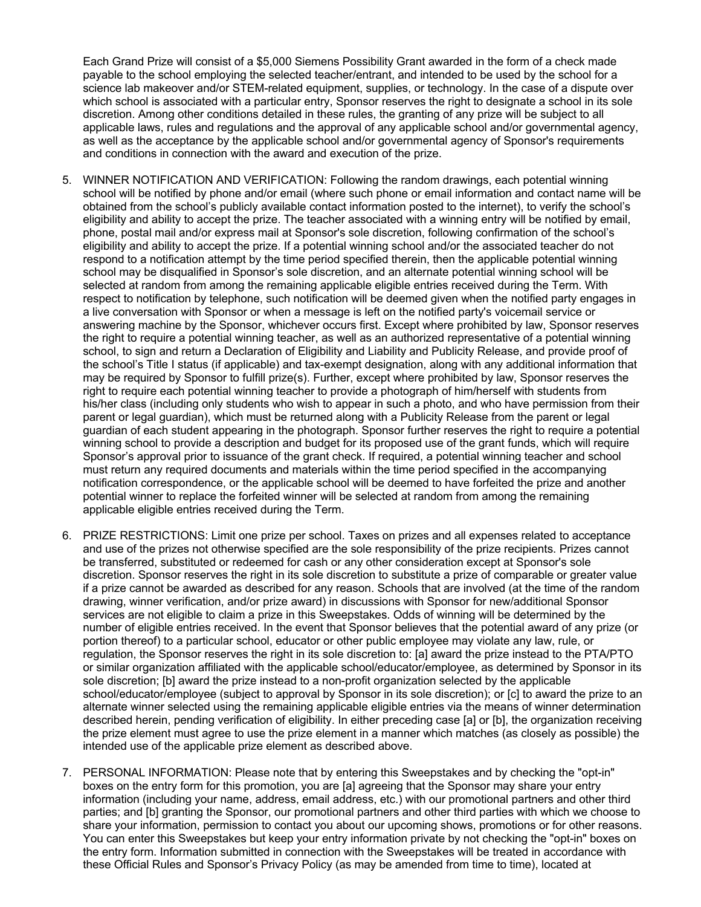Each Grand Prize will consist of a \$5,000 Siemens Possibility Grant awarded in the form of a check made payable to the school employing the selected teacher/entrant, and intended to be used by the school for a science lab makeover and/or STEM-related equipment, supplies, or technology. In the case of a dispute over which school is associated with a particular entry, Sponsor reserves the right to designate a school in its sole discretion. Among other conditions detailed in these rules, the granting of any prize will be subject to all applicable laws, rules and regulations and the approval of any applicable school and/or governmental agency, as well as the acceptance by the applicable school and/or governmental agency of Sponsor's requirements and conditions in connection with the award and execution of the prize.

- 5. WINNER NOTIFICATION AND VERIFICATION: Following the random drawings, each potential winning school will be notified by phone and/or email (where such phone or email information and contact name will be obtained from the school's publicly available contact information posted to the internet), to verify the school's eligibility and ability to accept the prize. The teacher associated with a winning entry will be notified by email, phone, postal mail and/or express mail at Sponsor's sole discretion, following confirmation of the school's eligibility and ability to accept the prize. If a potential winning school and/or the associated teacher do not respond to a notification attempt by the time period specified therein, then the applicable potential winning school may be disqualified in Sponsor's sole discretion, and an alternate potential winning school will be selected at random from among the remaining applicable eligible entries received during the Term. With respect to notification by telephone, such notification will be deemed given when the notified party engages in a live conversation with Sponsor or when a message is left on the notified party's voicemail service or answering machine by the Sponsor, whichever occurs first. Except where prohibited by law, Sponsor reserves the right to require a potential winning teacher, as well as an authorized representative of a potential winning school, to sign and return a Declaration of Eligibility and Liability and Publicity Release, and provide proof of the school's Title I status (if applicable) and tax-exempt designation, along with any additional information that may be required by Sponsor to fulfill prize(s). Further, except where prohibited by law, Sponsor reserves the right to require each potential winning teacher to provide a photograph of him/herself with students from his/her class (including only students who wish to appear in such a photo, and who have permission from their parent or legal guardian), which must be returned along with a Publicity Release from the parent or legal guardian of each student appearing in the photograph. Sponsor further reserves the right to require a potential winning school to provide a description and budget for its proposed use of the grant funds, which will require Sponsor's approval prior to issuance of the grant check. If required, a potential winning teacher and school must return any required documents and materials within the time period specified in the accompanying notification correspondence, or the applicable school will be deemed to have forfeited the prize and another potential winner to replace the forfeited winner will be selected at random from among the remaining applicable eligible entries received during the Term.
- 6. PRIZE RESTRICTIONS: Limit one prize per school. Taxes on prizes and all expenses related to acceptance and use of the prizes not otherwise specified are the sole responsibility of the prize recipients. Prizes cannot be transferred, substituted or redeemed for cash or any other consideration except at Sponsor's sole discretion. Sponsor reserves the right in its sole discretion to substitute a prize of comparable or greater value if a prize cannot be awarded as described for any reason. Schools that are involved (at the time of the random drawing, winner verification, and/or prize award) in discussions with Sponsor for new/additional Sponsor services are not eligible to claim a prize in this Sweepstakes. Odds of winning will be determined by the number of eligible entries received. In the event that Sponsor believes that the potential award of any prize (or portion thereof) to a particular school, educator or other public employee may violate any law, rule, or regulation, the Sponsor reserves the right in its sole discretion to: [a] award the prize instead to the PTA/PTO or similar organization affiliated with the applicable school/educator/employee, as determined by Sponsor in its sole discretion; [b] award the prize instead to a non-profit organization selected by the applicable school/educator/employee (subject to approval by Sponsor in its sole discretion); or [c] to award the prize to an alternate winner selected using the remaining applicable eligible entries via the means of winner determination described herein, pending verification of eligibility. In either preceding case [a] or [b], the organization receiving the prize element must agree to use the prize element in a manner which matches (as closely as possible) the intended use of the applicable prize element as described above.
- 7. PERSONAL INFORMATION: Please note that by entering this Sweepstakes and by checking the "opt-in" boxes on the entry form for this promotion, you are [a] agreeing that the Sponsor may share your entry information (including your name, address, email address, etc.) with our promotional partners and other third parties; and [b] granting the Sponsor, our promotional partners and other third parties with which we choose to share your information, permission to contact you about our upcoming shows, promotions or for other reasons. You can enter this Sweepstakes but keep your entry information private by not checking the "opt-in" boxes on the entry form. Information submitted in connection with the Sweepstakes will be treated in accordance with these Official Rules and Sponsor's Privacy Policy (as may be amended from time to time), located at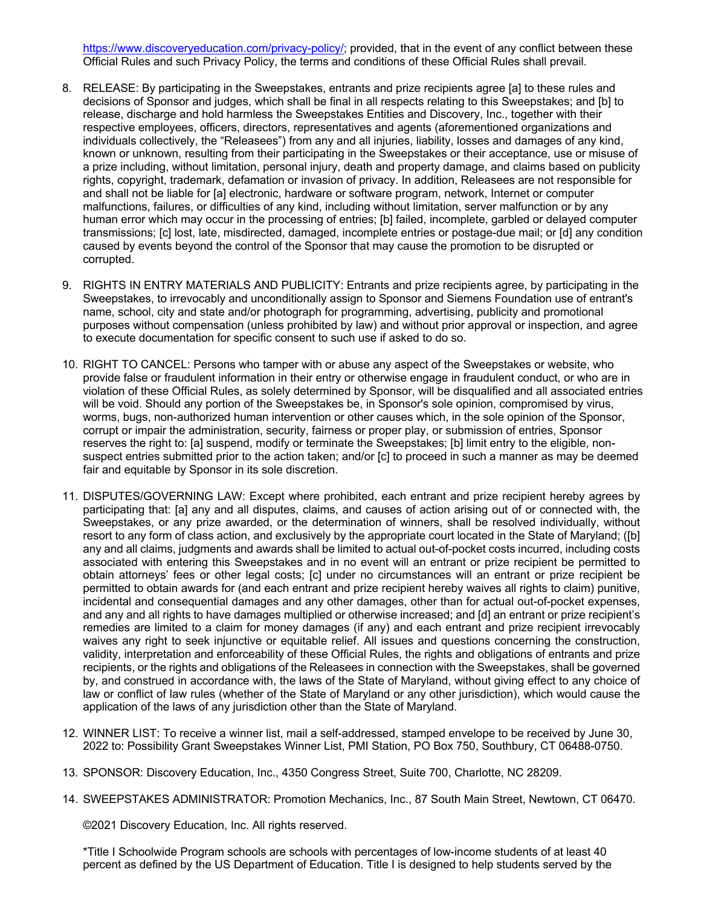https://www.discoveryeducation.com/privacy-policy/; provided, that in the event of any conflict between these Official Rules and such Privacy Policy, the terms and conditions of these Official Rules shall prevail.

- 8. RELEASE: By participating in the Sweepstakes, entrants and prize recipients agree [a] to these rules and decisions of Sponsor and judges, which shall be final in all respects relating to this Sweepstakes; and [b] to release, discharge and hold harmless the Sweepstakes Entities and Discovery, Inc., together with their respective employees, officers, directors, representatives and agents (aforementioned organizations and individuals collectively, the "Releasees") from any and all injuries, liability, losses and damages of any kind, known or unknown, resulting from their participating in the Sweepstakes or their acceptance, use or misuse of a prize including, without limitation, personal injury, death and property damage, and claims based on publicity rights, copyright, trademark, defamation or invasion of privacy. In addition, Releasees are not responsible for and shall not be liable for [a] electronic, hardware or software program, network, Internet or computer malfunctions, failures, or difficulties of any kind, including without limitation, server malfunction or by any human error which may occur in the processing of entries; [b] failed, incomplete, garbled or delayed computer transmissions; [c] lost, late, misdirected, damaged, incomplete entries or postage-due mail; or [d] any condition caused by events beyond the control of the Sponsor that may cause the promotion to be disrupted or corrupted.
- 9. RIGHTS IN ENTRY MATERIALS AND PUBLICITY: Entrants and prize recipients agree, by participating in the Sweepstakes, to irrevocably and unconditionally assign to Sponsor and Siemens Foundation use of entrant's name, school, city and state and/or photograph for programming, advertising, publicity and promotional purposes without compensation (unless prohibited by law) and without prior approval or inspection, and agree to execute documentation for specific consent to such use if asked to do so.
- 10. RIGHT TO CANCEL: Persons who tamper with or abuse any aspect of the Sweepstakes or website, who provide false or fraudulent information in their entry or otherwise engage in fraudulent conduct, or who are in violation of these Official Rules, as solely determined by Sponsor, will be disqualified and all associated entries will be void. Should any portion of the Sweepstakes be, in Sponsor's sole opinion, compromised by virus, worms, bugs, non-authorized human intervention or other causes which, in the sole opinion of the Sponsor, corrupt or impair the administration, security, fairness or proper play, or submission of entries, Sponsor reserves the right to: [a] suspend, modify or terminate the Sweepstakes; [b] limit entry to the eligible, nonsuspect entries submitted prior to the action taken; and/or [c] to proceed in such a manner as may be deemed fair and equitable by Sponsor in its sole discretion.
- 11. DISPUTES/GOVERNING LAW: Except where prohibited, each entrant and prize recipient hereby agrees by participating that: [a] any and all disputes, claims, and causes of action arising out of or connected with, the Sweepstakes, or any prize awarded, or the determination of winners, shall be resolved individually, without resort to any form of class action, and exclusively by the appropriate court located in the State of Maryland; ([b] any and all claims, judgments and awards shall be limited to actual out-of-pocket costs incurred, including costs associated with entering this Sweepstakes and in no event will an entrant or prize recipient be permitted to obtain attorneys' fees or other legal costs; [c] under no circumstances will an entrant or prize recipient be permitted to obtain awards for (and each entrant and prize recipient hereby waives all rights to claim) punitive, incidental and consequential damages and any other damages, other than for actual out-of-pocket expenses, and any and all rights to have damages multiplied or otherwise increased; and [d] an entrant or prize recipient's remedies are limited to a claim for money damages (if any) and each entrant and prize recipient irrevocably waives any right to seek injunctive or equitable relief. All issues and questions concerning the construction, validity, interpretation and enforceability of these Official Rules, the rights and obligations of entrants and prize recipients, or the rights and obligations of the Releasees in connection with the Sweepstakes, shall be governed by, and construed in accordance with, the laws of the State of Maryland, without giving effect to any choice of law or conflict of law rules (whether of the State of Maryland or any other jurisdiction), which would cause the application of the laws of any jurisdiction other than the State of Maryland.
- 12. WINNER LIST: To receive a winner list, mail a self-addressed, stamped envelope to be received by June 30, 2022 to: Possibility Grant Sweepstakes Winner List, PMI Station, PO Box 750, Southbury, CT 06488-0750.
- 13. SPONSOR: Discovery Education, Inc., 4350 Congress Street, Suite 700, Charlotte, NC 28209.
- 14. SWEEPSTAKES ADMINISTRATOR: Promotion Mechanics, Inc., 87 South Main Street, Newtown, CT 06470.

©2021 Discovery Education, Inc. All rights reserved.

\*Title I Schoolwide Program schools are schools with percentages of low-income students of at least 40 percent as defined by the US Department of Education. Title I is designed to help students served by the